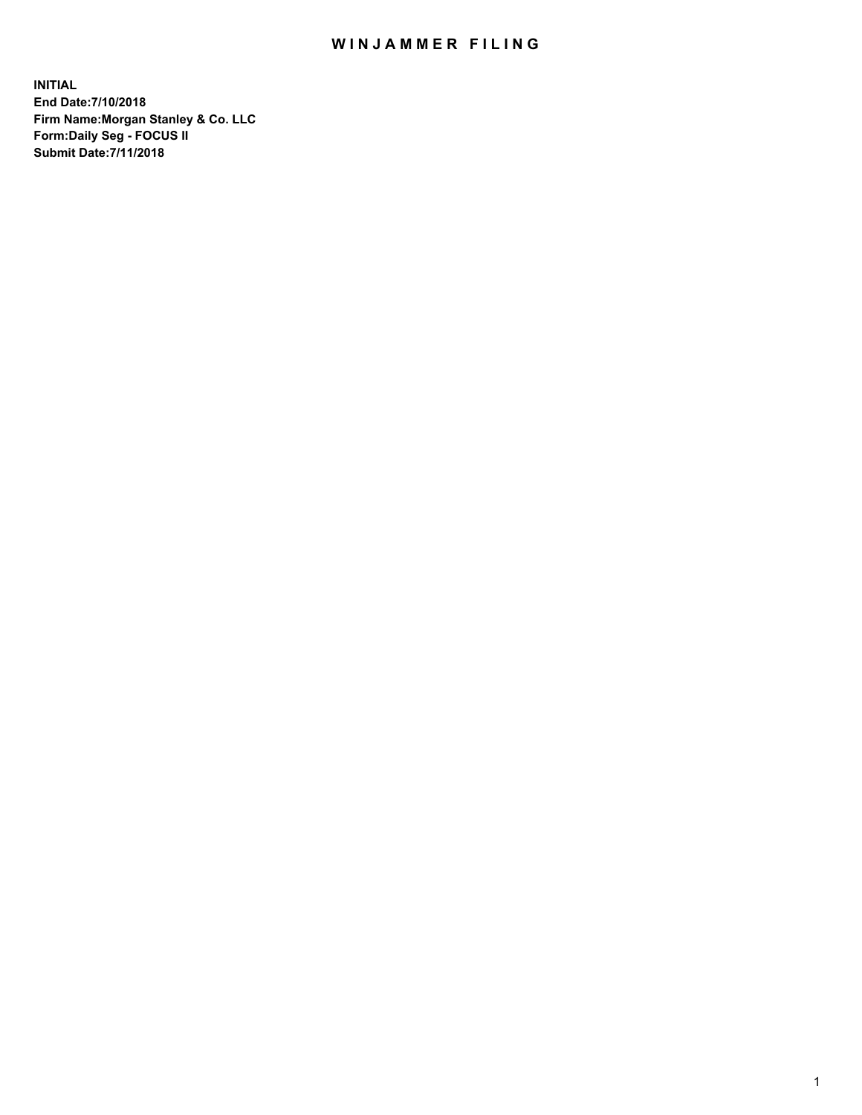## WIN JAMMER FILING

**INITIAL End Date:7/10/2018 Firm Name:Morgan Stanley & Co. LLC Form:Daily Seg - FOCUS II Submit Date:7/11/2018**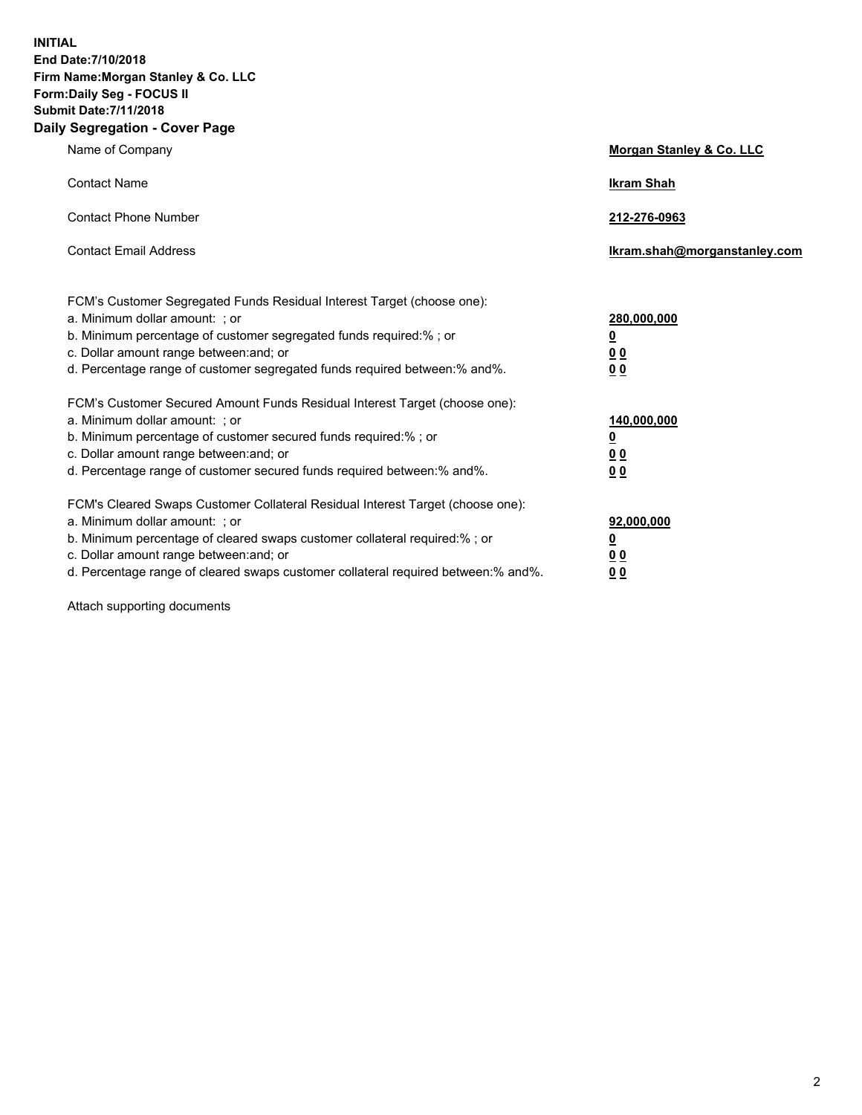**INITIAL End Date:7/10/2018 Firm Name:Morgan Stanley & Co. LLC Form:Daily Seg - FOCUS II Submit Date:7/11/2018 Daily Segregation - Cover Page**

| Name of Company                                                                                                                                                                                                                                                                                                                | Morgan Stanley & Co. LLC                               |  |
|--------------------------------------------------------------------------------------------------------------------------------------------------------------------------------------------------------------------------------------------------------------------------------------------------------------------------------|--------------------------------------------------------|--|
| <b>Contact Name</b>                                                                                                                                                                                                                                                                                                            | <b>Ikram Shah</b>                                      |  |
| <b>Contact Phone Number</b>                                                                                                                                                                                                                                                                                                    | 212-276-0963                                           |  |
| <b>Contact Email Address</b>                                                                                                                                                                                                                                                                                                   | lkram.shah@morganstanley.com                           |  |
| FCM's Customer Segregated Funds Residual Interest Target (choose one):<br>a. Minimum dollar amount: ; or<br>b. Minimum percentage of customer segregated funds required:% ; or<br>c. Dollar amount range between: and; or<br>d. Percentage range of customer segregated funds required between:% and%.                         | 280,000,000<br><u>0</u><br><u>0 0</u><br>0 Q           |  |
| FCM's Customer Secured Amount Funds Residual Interest Target (choose one):<br>a. Minimum dollar amount: ; or<br>b. Minimum percentage of customer secured funds required:%; or<br>c. Dollar amount range between: and; or<br>d. Percentage range of customer secured funds required between:% and%.                            | 140,000,000<br><u>0</u><br><u>00</u><br>0 <sub>0</sub> |  |
| FCM's Cleared Swaps Customer Collateral Residual Interest Target (choose one):<br>a. Minimum dollar amount: ; or<br>b. Minimum percentage of cleared swaps customer collateral required:% ; or<br>c. Dollar amount range between: and; or<br>d. Percentage range of cleared swaps customer collateral required between:% and%. | 92,000,000<br><u>0</u><br><u>00</u><br>0 <sup>0</sup>  |  |

Attach supporting documents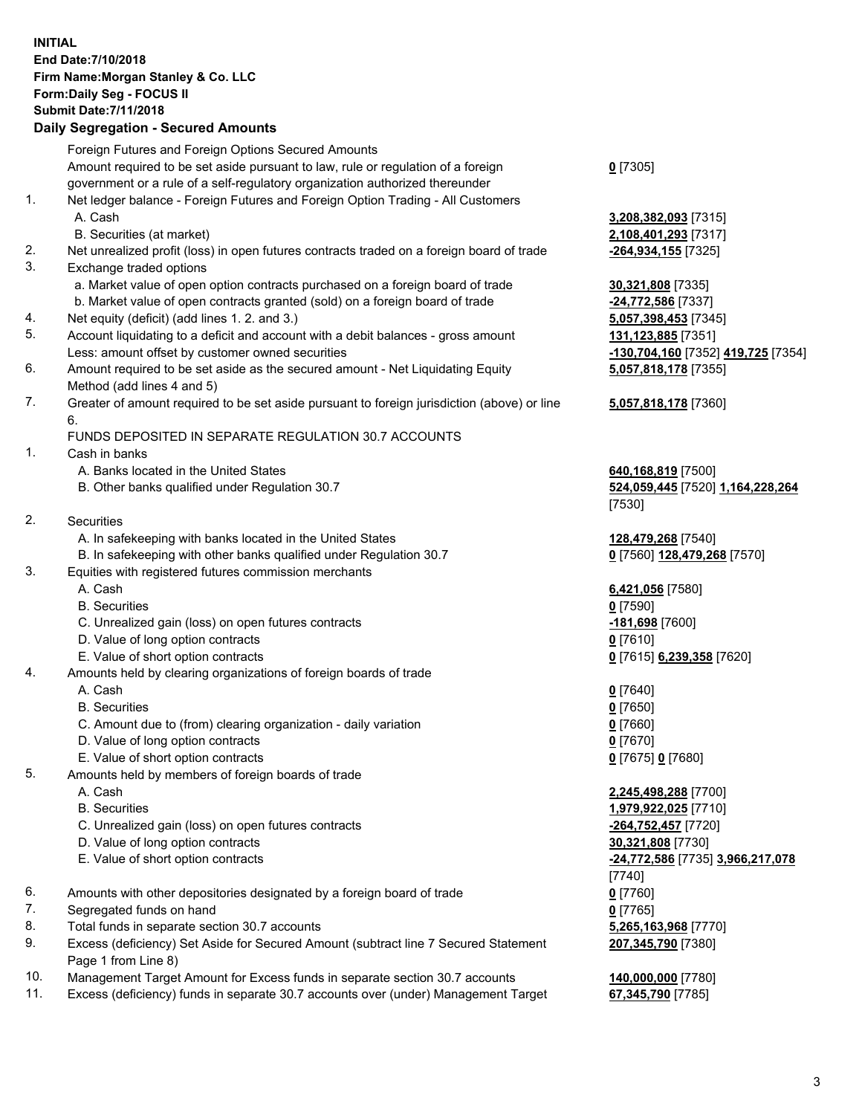## **INITIAL End Date:7/10/2018 Firm Name:Morgan Stanley & Co. LLC Form:Daily Seg - FOCUS II Submit Date:7/11/2018**

## **Daily Segregation - Secured Amounts**

|    | Foreign Futures and Foreign Options Secured Amounts                                         |                                    |
|----|---------------------------------------------------------------------------------------------|------------------------------------|
|    | Amount required to be set aside pursuant to law, rule or regulation of a foreign            | $0$ [7305]                         |
|    | government or a rule of a self-regulatory organization authorized thereunder                |                                    |
| 1. | Net ledger balance - Foreign Futures and Foreign Option Trading - All Customers             |                                    |
|    | A. Cash                                                                                     | 3,208,382,093 [7315]               |
|    | B. Securities (at market)                                                                   | 2,108,401,293 [7317]               |
| 2. | Net unrealized profit (loss) in open futures contracts traded on a foreign board of trade   | <u>-264,934,155</u> [7325]         |
| 3. | Exchange traded options                                                                     |                                    |
|    | a. Market value of open option contracts purchased on a foreign board of trade              | 30,321,808 [7335]                  |
|    | b. Market value of open contracts granted (sold) on a foreign board of trade                | -24,772,586 [7337]                 |
| 4. | Net equity (deficit) (add lines 1. 2. and 3.)                                               | 5,057,398,453 [7345]               |
| 5. | Account liquidating to a deficit and account with a debit balances - gross amount           | 131, 123, 885 [7351]               |
|    | Less: amount offset by customer owned securities                                            | -130,704,160 [7352]                |
| 6. | Amount required to be set aside as the secured amount - Net Liquidating Equity              | 5,057,818,178 [7355]               |
|    | Method (add lines 4 and 5)                                                                  |                                    |
| 7. | Greater of amount required to be set aside pursuant to foreign jurisdiction (above) or line | 5,057,818,178 [7360]               |
|    | 6.                                                                                          |                                    |
|    | FUNDS DEPOSITED IN SEPARATE REGULATION 30.7 ACCOUNTS                                        |                                    |
| 1. | Cash in banks                                                                               |                                    |
|    | A. Banks located in the United States                                                       | 640,168,819 [7500]                 |
|    | B. Other banks qualified under Regulation 30.7                                              | 524,059,445 [7520] 1               |
|    |                                                                                             | [7530]                             |
| 2. | Securities                                                                                  |                                    |
|    | A. In safekeeping with banks located in the United States                                   | 128,479,268 [7540]                 |
|    | B. In safekeeping with other banks qualified under Regulation 30.7                          | 0 [7560] 128,479,268               |
| 3. | Equities with registered futures commission merchants                                       |                                    |
|    | A. Cash                                                                                     | 6,421,056 [7580]                   |
|    | <b>B.</b> Securities                                                                        | $0$ [7590]                         |
|    | C. Unrealized gain (loss) on open futures contracts                                         | -181,698 [7600]                    |
|    | D. Value of long option contracts                                                           | $0$ [7610]                         |
|    | E. Value of short option contracts                                                          | 0 [7615] 6,239,358 [7              |
| 4. | Amounts held by clearing organizations of foreign boards of trade                           |                                    |
|    | A. Cash                                                                                     | $0$ [7640]                         |
|    | <b>B.</b> Securities                                                                        | $0$ [7650]                         |
|    | C. Amount due to (from) clearing organization - daily variation                             | $0$ [7660]                         |
|    | D. Value of long option contracts                                                           | $0$ [7670]                         |
|    | E. Value of short option contracts                                                          | 0 [7675] 0 [7680]                  |
| 5. | Amounts held by members of foreign boards of trade                                          |                                    |
|    | A. Cash                                                                                     | 2,245,498,288 [7700]               |
|    | <b>B.</b> Securities                                                                        | 1,979,922,025 [7710]               |
|    | C. Unrealized gain (loss) on open futures contracts                                         | -264,752,457 [7720]                |
|    | D. Value of long option contracts                                                           | 30,321,808 [7730]                  |
|    | E. Value of short option contracts                                                          | <mark>-24,772,586</mark> [7735] 3. |
|    |                                                                                             | [7740]                             |
| 6. | Amounts with other depositories designated by a foreign board of trade                      | $0$ [7760]                         |
| 7. | Segregated funds on hand                                                                    | $0$ [7765]                         |
| 8. | Total funds in separate section 30.7 accounts                                               | 5,265,163,968 [7770]               |
| 9. | Excess (deficiency) Set Aside for Secured Amount (subtract line 7 Secured Statement         | 207,345,790 [7380]                 |
|    | Page 1 from Line 8)                                                                         |                                    |
|    |                                                                                             |                                    |

- 10. Management Target Amount for Excess funds in separate section 30.7 accounts **140,000,000** [7780]
- 11. Excess (deficiency) funds in separate 30.7 accounts over (under) Management Target **67,345,790** [7785]

Less: amount offset by customer owned securities **-130,704,160** [7352] **419,725** [7354]

## **5,057,818,178** [7360]

B. Other banks qualified under Regulation 30.7 **524,059,445** [7520] **1,164,228,264**

**8. 179,268** [7570]

E. Value of short option contracts **0** [7615] **6,239,358** [7620]

 E. Value of short option contracts **-24,772,586** [7735] **3,966,217,078 207,345,790** [7380]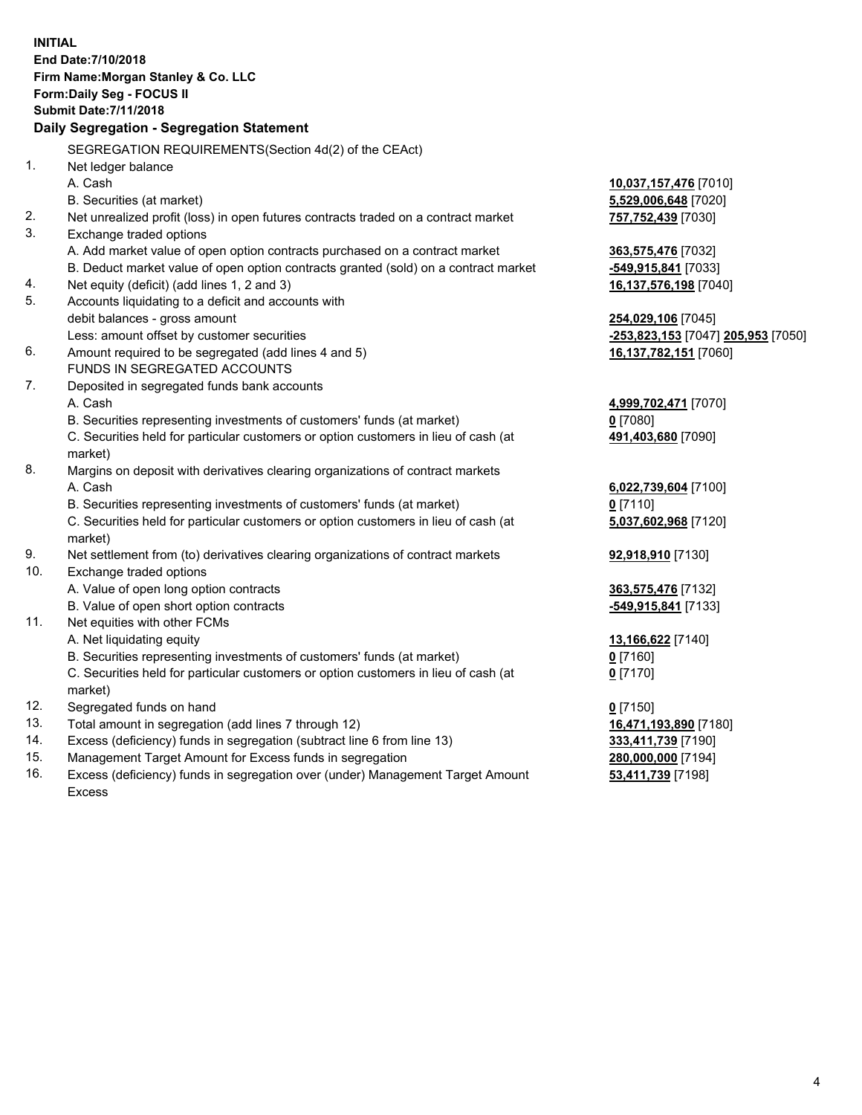**INITIAL End Date:7/10/2018 Firm Name:Morgan Stanley & Co. LLC Form:Daily Seg - FOCUS II Submit Date:7/11/2018 Daily Segregation - Segregation Statement** SEGREGATION REQUIREMENTS(Section 4d(2) of the CEAct) 1. Net ledger balance A. Cash **10,037,157,476** [7010] B. Securities (at market) **5,529,006,648** [7020] 2. Net unrealized profit (loss) in open futures contracts traded on a contract market **757,752,439** [7030] 3. Exchange traded options A. Add market value of open option contracts purchased on a contract market **363,575,476** [7032] B. Deduct market value of open option contracts granted (sold) on a contract market **-549,915,841** [7033] 4. Net equity (deficit) (add lines 1, 2 and 3) **16,137,576,198** [7040] 5. Accounts liquidating to a deficit and accounts with debit balances - gross amount **254,029,106** [7045] Less: amount offset by customer securities **-253,823,153** [7047] **205,953** [7050] 6. Amount required to be segregated (add lines 4 and 5) **16,137,782,151** [7060] FUNDS IN SEGREGATED ACCOUNTS 7. Deposited in segregated funds bank accounts A. Cash **4,999,702,471** [7070] B. Securities representing investments of customers' funds (at market) **0** [7080] C. Securities held for particular customers or option customers in lieu of cash (at market) **491,403,680** [7090] 8. Margins on deposit with derivatives clearing organizations of contract markets A. Cash **6,022,739,604** [7100] B. Securities representing investments of customers' funds (at market) **0** [7110] C. Securities held for particular customers or option customers in lieu of cash (at market) **5,037,602,968** [7120] 9. Net settlement from (to) derivatives clearing organizations of contract markets **92,918,910** [7130] 10. Exchange traded options A. Value of open long option contracts **363,575,476** [7132] B. Value of open short option contracts **-549,915,841** [7133] 11. Net equities with other FCMs A. Net liquidating equity **13,166,622** [7140] B. Securities representing investments of customers' funds (at market) **0** [7160] C. Securities held for particular customers or option customers in lieu of cash (at market) **0** [7170] 12. Segregated funds on hand **0** [7150] 13. Total amount in segregation (add lines 7 through 12) **16,471,193,890** [7180] 14. Excess (deficiency) funds in segregation (subtract line 6 from line 13) **333,411,739** [7190] 15. Management Target Amount for Excess funds in segregation **280,000,000** [7194] 16. Excess (deficiency) funds in segregation over (under) Management Target Amount **53,411,739** [7198]

Excess